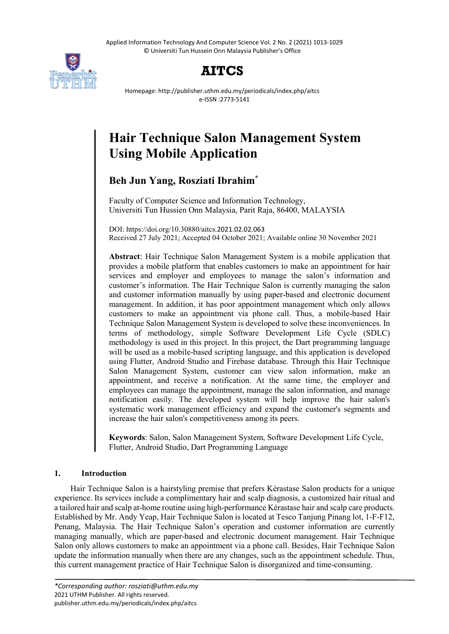Applied Information Technology And Computer Science Vol. 2 No. 2 (2021) 1013-1029 © Universiti Tun Hussein Onn Malaysia Publisher's Office



## **AITCS**

Homepage: http://publisher.uthm.edu.my/periodicals/index.php/aitcs e-ISSN :2773-5141

# **Hair Technique Salon Management System Using Mobile Application**

### **Beh Jun Yang, Rosziati Ibrahim**\*

Faculty of Computer Science and Information Technology, Universiti Tun Hussien Onn Malaysia, Parit Raja, 86400, MALAYSIA

DOI: https://doi.org/10.30880/aitcs.2021.02.02.063 Received 27 July 2021; Accepted 04 October 2021; Available online 30 November 2021

**Abstract**: Hair Technique Salon Management System is a mobile application that provides a mobile platform that enables customers to make an appointment for hair services and employer and employees to manage the salon's information and customer's information. The Hair Technique Salon is currently managing the salon and customer information manually by using paper-based and electronic document management. In addition, it has poor appointment management which only allows customers to make an appointment via phone call. Thus, a mobile-based Hair Technique Salon Management System is developed to solve these inconveniences. In terms of methodology, simple Software Development Life Cycle (SDLC) methodology is used in this project. In this project, the Dart programming language will be used as a mobile-based scripting language, and this application is developed using Flutter, Android Studio and Firebase database. Through this Hair Technique Salon Management System, customer can view salon information, make an appointment, and receive a notification. At the same time, the employer and employees can manage the appointment, manage the salon information, and manage notification easily. The developed system will help improve the hair salon's systematic work management efficiency and expand the customer's segments and increase the hair salon's competitiveness among its peers.

**Keywords**: Salon, Salon Management System, Software Development Life Cycle, Flutter, Android Studio, Dart Programming Language

#### **1. Introduction**

Hair Technique Salon is a hairstyling premise that prefers Kérastase Salon products for a unique experience. Its services include a complimentary hair and scalp diagnosis, a customized hair ritual and a tailored hair and scalp at-home routine using high-performance Kérastase hair and scalp care products. Established by Mr. Andy Yeap, Hair Technique Salon is located at Tesco Tanjung Pinang lot, 1-F-F12, Penang, Malaysia. The Hair Technique Salon's operation and customer information are currently managing manually, which are paper-based and electronic document management. Hair Technique Salon only allows customers to make an appointment via a phone call. Besides, Hair Technique Salon update the information manually when there are any changes, such as the appointment schedule. Thus, this current management practice of Hair Technique Salon is disorganized and time-consuming.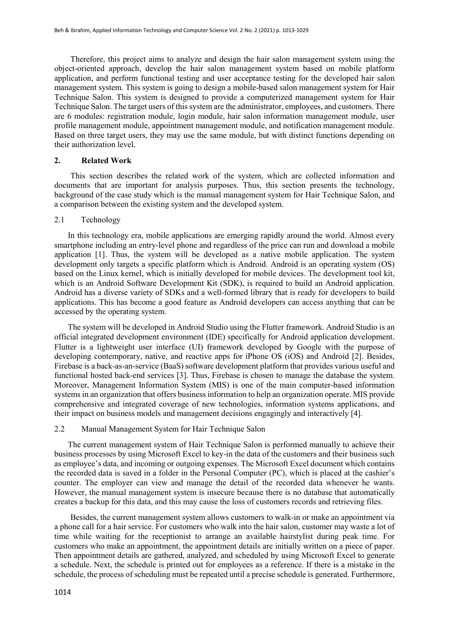Therefore, this project aims to analyze and design the hair salon management system using the object-oriented approach, develop the hair salon management system based on mobile platform application, and perform functional testing and user acceptance testing for the developed hair salon management system. This system is going to design a mobile-based salon management system for Hair Technique Salon. This system is designed to provide a computerized management system for Hair Technique Salon. The target users of this system are the administrator, employees, and customers. There are 6 modules: registration module, login module, hair salon information management module, user profile management module, appointment management module, and notification management module. Based on three target users, they may use the same module, but with distinct functions depending on their authorization level.

#### **2. Related Work**

This section describes the related work of the system, which are collected information and documents that are important for analysis purposes. Thus, this section presents the technology, background of the case study which is the manual management system for Hair Technique Salon, and a comparison between the existing system and the developed system.

#### 2.1 Technology

In this technology era, mobile applications are emerging rapidly around the world. Almost every smartphone including an entry-level phone and regardless of the price can run and download a mobile application [1]. Thus, the system will be developed as a native mobile application. The system development only targets a specific platform which is Android. Android is an operating system (OS) based on the Linux kernel, which is initially developed for mobile devices. The development tool kit, which is an Android Software Development Kit (SDK), is required to build an Android application. Android has a diverse variety of SDKs and a well-formed library that is ready for developers to build applications. This has become a good feature as Android developers can access anything that can be accessed by the operating system.

The system will be developed in Android Studio using the Flutter framework. Android Studio is an official integrated development environment (IDE) specifically for Android application development. Flutter is a lightweight user interface (UI) framework developed by Google with the purpose of developing contemporary, native, and reactive apps for iPhone OS (iOS) and Android [2]. Besides, Firebase is a back-as-an-service (BaaS) software development platform that provides various useful and functional hosted back-end services [3]. Thus, Firebase is chosen to manage the database the system. Moreover, Management Information System (MIS) is one of the main computer-based information systems in an organization that offers business information to help an organization operate. MIS provide comprehensive and integrated coverage of new technologies, information systems applications, and their impact on business models and management decisions engagingly and interactively [4].

#### 2.2 Manual Management System for Hair Technique Salon

The current management system of Hair Technique Salon is performed manually to achieve their business processes by using Microsoft Excel to key-in the data of the customers and their business such as employee's data, and incoming or outgoing expenses. The Microsoft Excel document which contains the recorded data is saved in a folder in the Personal Computer (PC), which is placed at the cashier's counter. The employer can view and manage the detail of the recorded data whenever he wants. However, the manual management system is insecure because there is no database that automatically creates a backup for this data, and this may cause the loss of customers records and retrieving files.

Besides, the current management system allows customers to walk-in or make an appointment via a phone call for a hair service. For customers who walk into the hair salon, customer may waste a lot of time while waiting for the receptionist to arrange an available hairstylist during peak time. For customers who make an appointment, the appointment details are initially written on a piece of paper. Then appointment details are gathered, analyzed, and scheduled by using Microsoft Excel to generate a schedule. Next, the schedule is printed out for employees as a reference. If there is a mistake in the schedule, the process of scheduling must be repeated until a precise schedule is generated. Furthermore,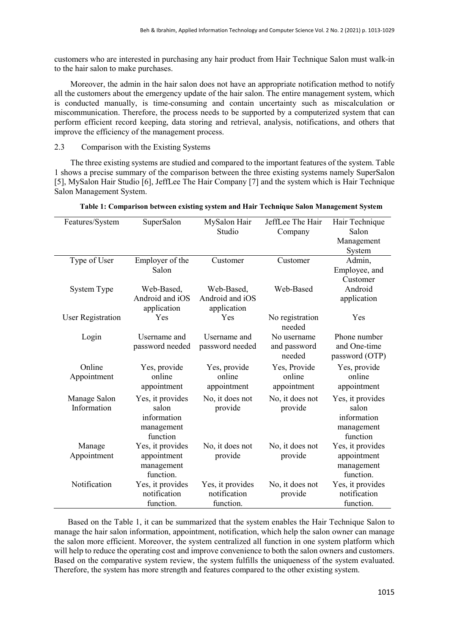customers who are interested in purchasing any hair product from Hair Technique Salon must walk-in to the hair salon to make purchases.

Moreover, the admin in the hair salon does not have an appropriate notification method to notify all the customers about the emergency update of the hair salon. The entire management system, which is conducted manually, is time-consuming and contain uncertainty such as miscalculation or miscommunication. Therefore, the process needs to be supported by a computerized system that can perform efficient record keeping, data storing and retrieval, analysis, notifications, and others that improve the efficiency of the management process.

#### 2.3 Comparison with the Existing Systems

The three existing systems are studied and compared to the important features of the system. Table 1 shows a precise summary of the comparison between the three existing systems namely SuperSalon [5], MySalon Hair Studio [6], JeffLee The Hair Company [7] and the system which is Hair Technique Salon Management System.

| Features/System   | SuperSalon       | MySalon Hair     | JeffLee The Hair          | Hair Technique   |
|-------------------|------------------|------------------|---------------------------|------------------|
|                   |                  | Studio           | Company                   | Salon            |
|                   |                  |                  |                           | Management       |
|                   |                  |                  |                           | System           |
| Type of User      | Employer of the  | Customer         | Customer                  | Admin,           |
|                   | Salon            |                  |                           | Employee, and    |
|                   |                  |                  |                           | Customer         |
| System Type       | Web-Based,       | Web-Based,       | Web-Based                 | Android          |
|                   | Android and iOS  | Android and iOS  |                           | application      |
|                   | application      | application      |                           |                  |
| User Registration | Yes              | Yes              | No registration<br>needed | Yes              |
| Login             | Username and     | Username and     | No username               | Phone number     |
|                   | password needed  | password needed  | and password              | and One-time     |
|                   |                  |                  | needed                    | password (OTP)   |
| Online            | Yes, provide     | Yes, provide     | Yes, Provide              | Yes, provide     |
| Appointment       | online           | online           | online                    | online           |
|                   | appointment      | appointment      | appointment               | appointment      |
| Manage Salon      | Yes, it provides | No, it does not  | No, it does not           | Yes, it provides |
| Information       | salon            | provide          | provide                   | salon            |
|                   | information      |                  |                           | information      |
|                   | management       |                  |                           | management       |
|                   | function         |                  |                           | function         |
| Manage            | Yes, it provides | No, it does not  | No, it does not           | Yes, it provides |
| Appointment       | appointment      | provide          | provide                   | appointment      |
|                   | management       |                  |                           | management       |
|                   | function.        |                  |                           | function.        |
| Notification      | Yes, it provides | Yes, it provides | No, it does not           | Yes, it provides |
|                   | notification     | notification     | provide                   | notification     |
|                   | function.        | function.        |                           | function.        |

#### **Table 1: Comparison between existing system and Hair Technique Salon Management System**

Based on the Table 1, it can be summarized that the system enables the Hair Technique Salon to manage the hair salon information, appointment, notification, which help the salon owner can manage the salon more efficient. Moreover, the system centralized all function in one system platform which will help to reduce the operating cost and improve convenience to both the salon owners and customers. Based on the comparative system review, the system fulfills the uniqueness of the system evaluated. Therefore, the system has more strength and features compared to the other existing system.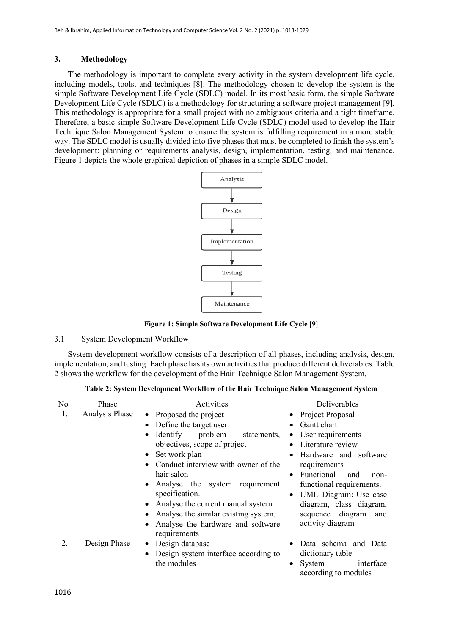#### **3. Methodology**

The methodology is important to complete every activity in the system development life cycle, including models, tools, and techniques [8]. The methodology chosen to develop the system is the simple Software Development Life Cycle (SDLC) model. In its most basic form, the simple Software Development Life Cycle (SDLC) is a methodology for structuring a software project management [9]. This methodology is appropriate for a small project with no ambiguous criteria and a tight timeframe. Therefore, a basic simple Software Development Life Cycle (SDLC) model used to develop the Hair Technique Salon Management System to ensure the system is fulfilling requirement in a more stable way. The SDLC model is usually divided into five phases that must be completed to finish the system's development: planning or requirements analysis, design, implementation, testing, and maintenance. Figure 1 depicts the whole graphical depiction of phases in a simple SDLC model.



**Figure 1: Simple Software Development Life Cycle [9]**

#### 3.1 System Development Workflow

System development workflow consists of a description of all phases, including analysis, design, implementation, and testing. Each phase has its own activities that produce different deliverables. Table 2 shows the workflow for the development of the Hair Technique Salon Management System.

|  | Table 2: System Development Workflow of the Hair Technique Salon Management System |  |
|--|------------------------------------------------------------------------------------|--|
|  |                                                                                    |  |

| N <sub>o</sub> | Phase          | Activities                                                     | Deliverables                                     |
|----------------|----------------|----------------------------------------------------------------|--------------------------------------------------|
| 1.             | Analysis Phase | • Proposed the project                                         | • Project Proposal                               |
|                |                | Define the target user<br>$\bullet$                            | Gantt chart                                      |
|                |                | Identify<br>problem<br>statements,<br>$\bullet$                | User requirements<br>$\bullet$                   |
|                |                | objectives, scope of project                                   | Literature review                                |
|                |                | Set work plan<br>$\bullet$                                     | Hardware and software<br>$\bullet$               |
|                |                | Conduct interview with owner of the                            | requirements                                     |
|                |                | hair salon                                                     | Functional<br>and<br>non-<br>$\bullet$           |
|                |                | Analyse the system requirement<br>$\bullet$                    | functional requirements.                         |
|                |                | specification.                                                 | UML Diagram: Use case<br>$\bullet$               |
|                |                | Analyse the current manual system<br>$\bullet$                 | diagram, class diagram,                          |
|                |                | Analyse the similar existing system.<br>٠                      | sequence diagram<br>and                          |
|                |                | Analyse the hardware and software<br>$\bullet$<br>requirements | activity diagram                                 |
| 2.             | Design Phase   | Design database<br>٠                                           | Data schema and Data                             |
|                |                | Design system interface according to<br>$\bullet$              | dictionary table                                 |
|                |                | the modules                                                    | interface<br>System<br>٠<br>according to modules |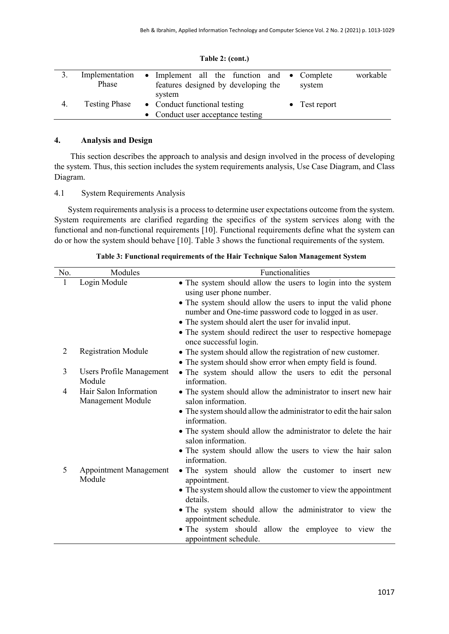|    | Phase                | Implementation • Implement all the function and • Complete<br>features designed by developing the | system                | workable |
|----|----------------------|---------------------------------------------------------------------------------------------------|-----------------------|----------|
| 4. | <b>Testing Phase</b> | system<br>• Conduct functional testing<br>• Conduct user acceptance testing                       | $\bullet$ Test report |          |

#### **Table 2: (cont.)**

#### **4. Analysis and Design**

This section describes the approach to analysis and design involved in the process of developing the system. Thus, this section includes the system requirements analysis, Use Case Diagram, and Class Diagram.

#### 4.1 System Requirements Analysis

System requirements analysis is a process to determine user expectations outcome from the system. System requirements are clarified regarding the specifics of the system services along with the functional and non-functional requirements [10]. Functional requirements define what the system can do or how the system should behave [10]. Table 3 shows the functional requirements of the system.

| No.            | Modules                                     | Functionalities                                                                                                                                    |
|----------------|---------------------------------------------|----------------------------------------------------------------------------------------------------------------------------------------------------|
| 1              | Login Module                                | • The system should allow the users to login into the system<br>using user phone number.                                                           |
|                |                                             | • The system should allow the users to input the valid phone<br>number and One-time password code to logged in as user.                            |
|                |                                             | • The system should alert the user for invalid input.<br>• The system should redirect the user to respective homepage                              |
| $\overline{2}$ | <b>Registration Module</b>                  | once successful login.<br>• The system should allow the registration of new customer.<br>• The system should show error when empty field is found. |
| 3              | Users Profile Management<br>Module          | • The system should allow the users to edit the personal<br>information.                                                                           |
| 4              | Hair Salon Information<br>Management Module | • The system should allow the administrator to insert new hair<br>salon information.                                                               |
|                |                                             | • The system should allow the administrator to edit the hair salon<br>information.                                                                 |
|                |                                             | • The system should allow the administrator to delete the hair<br>salon information.                                                               |
|                |                                             | • The system should allow the users to view the hair salon<br>information.                                                                         |
| 5              | <b>Appointment Management</b><br>Module     | • The system should allow the customer to insert new<br>appointment.                                                                               |
|                |                                             | • The system should allow the customer to view the appointment<br>details.                                                                         |
|                |                                             | • The system should allow the administrator to view the<br>appointment schedule.                                                                   |
|                |                                             | • The system should allow the employee to view the<br>appointment schedule.                                                                        |

**Table 3: Functional requirements of the Hair Technique Salon Management System**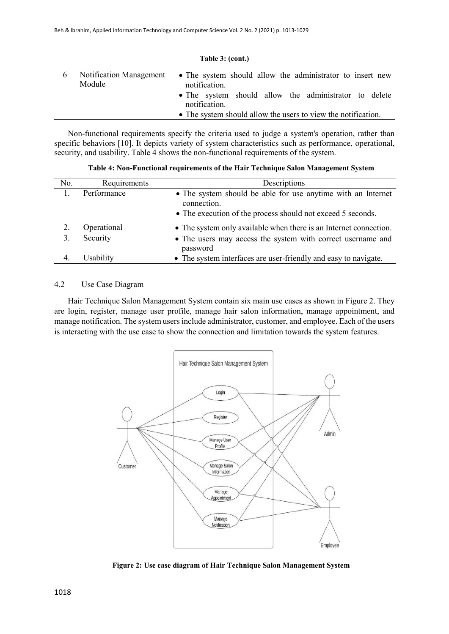| Module | Notification Management • The system should allow the administrator to insert new<br>notification.<br>• The system should allow the administrator to delete<br>notification. |
|--------|------------------------------------------------------------------------------------------------------------------------------------------------------------------------------|
|        | • The system should allow the users to view the notification.                                                                                                                |

**Table 3: (cont.)**

Non-functional requirements specify the criteria used to judge a system's operation, rather than specific behaviors [10]. It depicts variety of system characteristics such as performance, operational, security, and usability. Table 4 shows the non-functional requirements of the system.

No. Requirements Descriptions 1. Performance • The system should be able for use anytime with an Internet connection. • The execution of the process should not exceed 5 seconds. 2. Operational • The system only available when there is an Internet connection. 3. Security • The users may access the system with correct username and password 4. Usability • The system interfaces are user-friendly and easy to navigate.

**Table 4: Non-Functional requirements of the Hair Technique Salon Management System**

#### 4.2 Use Case Diagram

Hair Technique Salon Management System contain six main use cases as shown in Figure 2. They are login, register, manage user profile, manage hair salon information, manage appointment, and manage notification. The system users include administrator, customer, and employee. Each of the users is interacting with the use case to show the connection and limitation towards the system features.



**Figure 2: Use case diagram of Hair Technique Salon Management System**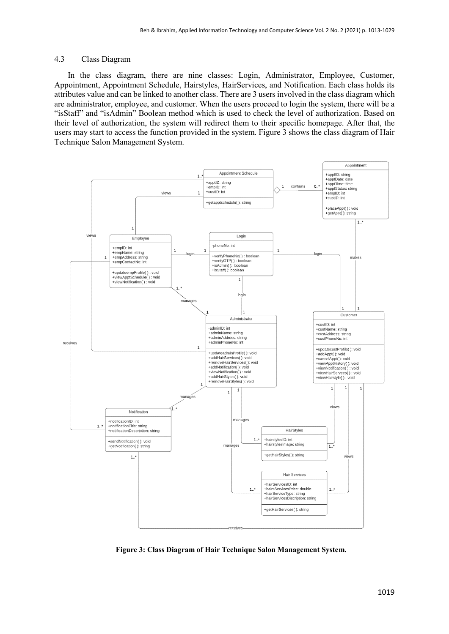#### 4.3 Class Diagram

In the class diagram, there are nine classes: Login, Administrator, Employee, Customer, Appointment, Appointment Schedule, Hairstyles, HairServices, and Notification. Each class holds its attributes value and can be linked to another class. There are 3 users involved in the class diagram which are administrator, employee, and customer. When the users proceed to login the system, there will be a "isStaff" and "isAdmin" Boolean method which is used to check the level of authorization. Based on their level of authorization, the system will redirect them to their specific homepage. After that, the users may start to access the function provided in the system. Figure 3 shows the class diagram of Hair Technique Salon Management System.



**Figure 3: Class Diagram of Hair Technique Salon Management System.**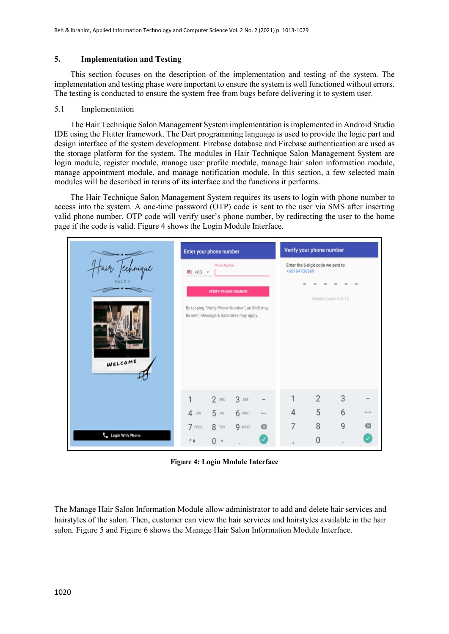#### **5. Implementation and Testing**

This section focuses on the description of the implementation and testing of the system. The implementation and testing phase were important to ensure the system is well functioned without errors. The testing is conducted to ensure the system free from bugs before delivering it to system user.

#### 5.1 Implementation

The Hair Technique Salon Management System implementation is implemented in Android Studio IDE using the Flutter framework. The Dart programming language is used to provide the logic part and design interface of the system development. Firebase database and Firebase authentication are used as the storage platform for the system. The modules in Hair Technique Salon Management System are login module, register module, manage user profile module, manage hair salon information module, manage appointment module, and manage notification module. In this section, a few selected main modules will be described in terms of its interface and the functions it performs.

The Hair Technique Salon Management System requires its users to login with phone number to access into the system. A one-time password (OTP) code is sent to the user via SMS after inserting valid phone number. OTP code will verify user's phone number, by redirecting the user to the home page if the code is valid. Figure 4 shows the Login Module Interface.



**Figure 4: Login Module Interface**

The Manage Hair Salon Information Module allow administrator to add and delete hair services and hairstyles of the salon. Then, customer can view the hair services and hairstyles available in the hair salon. Figure 5 and Figure 6 shows the Manage Hair Salon Information Module Interface.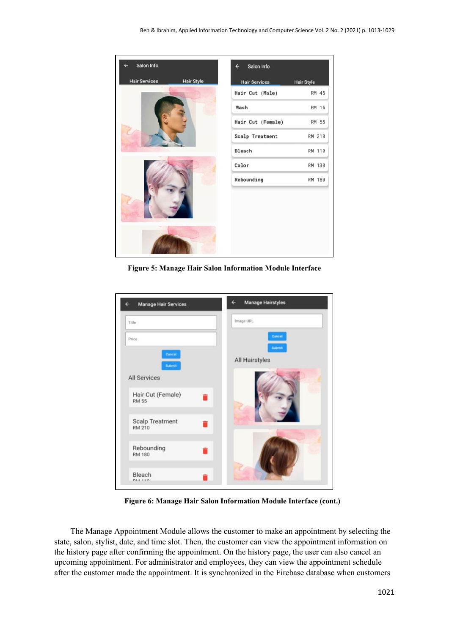

**Figure 5: Manage Hair Salon Information Module Interface**

| Title                                                   | Image URL                          |
|---------------------------------------------------------|------------------------------------|
| Price<br>Cancel<br><b>Submit</b><br><b>All Services</b> | Cancel<br>Submit<br>All Hairstyles |
| Hair Cut (Female)<br><b>RM 55</b>                       |                                    |
| <b>Scalp Treatment</b>                                  |                                    |
| <b>RM 210</b>                                           |                                    |
| Rebounding<br><b>RM 180</b>                             |                                    |

**Figure 6: Manage Hair Salon Information Module Interface (cont.)**

The Manage Appointment Module allows the customer to make an appointment by selecting the state, salon, stylist, date, and time slot. Then, the customer can view the appointment information on the history page after confirming the appointment. On the history page, the user can also cancel an upcoming appointment. For administrator and employees, they can view the appointment schedule after the customer made the appointment. It is synchronized in the Firebase database when customers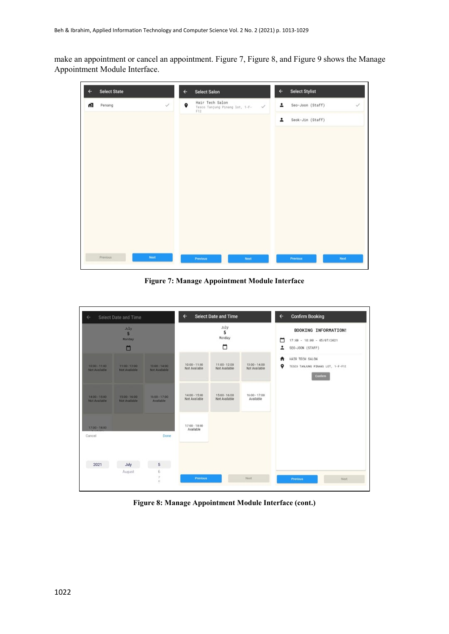make an appointment or cancel an appointment. Figure 7, Figure 8, and Figure 9 shows the Manage Appointment Module Interface.



**Figure 7: Manage Appointment Module Interface** 

| $\leftarrow$                     | Select Date and Time                    |                                         | ←                              | <b>Select Date and Time</b>      |                                  | $\leftarrow$ | <b>Confirm Booking</b>                                                 |
|----------------------------------|-----------------------------------------|-----------------------------------------|--------------------------------|----------------------------------|----------------------------------|--------------|------------------------------------------------------------------------|
|                                  | July<br>5<br><b>Nonday</b><br>□         |                                         |                                | July<br>5<br>Monday<br>▭         |                                  | □<br>∸       | BOOKING INFORMATION!<br>17:00 - 18:00 - 05/07/2021<br>SEO-JOON (STAFF) |
| $10:00 - 11:00$<br>Not Available | $11:00 - 12:00$<br><b>Not Available</b> | $13.00 - 14.00$<br><b>Not Available</b> | 10:00 - 11:00<br>Not Available | 11:00 - 12:00<br>Not Available   | $13:00 - 14:00$<br>Not Available | A<br>9       | HAIR TECH SALON<br>TESCO TANJUNG PINANG LOT, 1-F-F12<br><b>Confirm</b> |
| 14:00 - 15:00<br>Not Available   | 15:00 - 16:00<br><b>Not Available</b>   | $16:00 - 17:00$<br>Available            | 14:00 - 15:00<br>Not Available | $15:00 - 16:00$<br>Not Available | 16:00 - 17:00<br>Available       |              |                                                                        |
| 17:00 - 18:00<br>Cancel          |                                         | Done                                    | 17:00 - 18:00<br>Available     |                                  |                                  |              |                                                                        |
| 2021                             | July<br>August                          | 5<br>6<br>2<br>$\Omega$                 | Previous                       |                                  | Next                             |              | <b>Previous</b><br>Next                                                |

**Figure 8: Manage Appointment Module Interface (cont.)**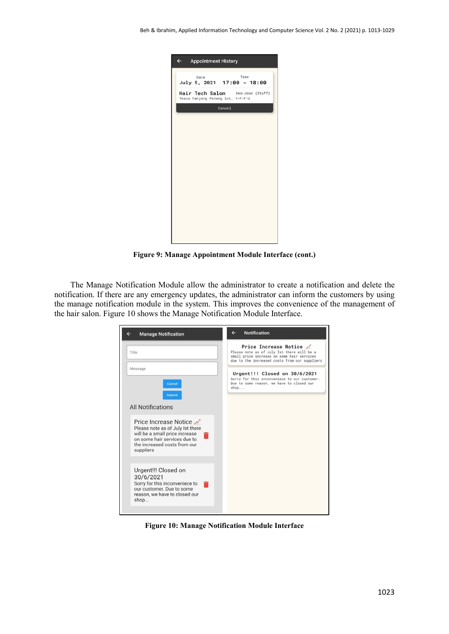| $\leftarrow$<br><b>Appointment History</b>                                                                          |
|---------------------------------------------------------------------------------------------------------------------|
| Time<br>Date<br>July 5, 2021 17:00 - 18:00<br>Hair Tech Salon Seo-Joon (Staff)<br>Tesco Tanjung Pinang lot, 1-F-F12 |
| Cancel                                                                                                              |
|                                                                                                                     |
|                                                                                                                     |
|                                                                                                                     |
|                                                                                                                     |
|                                                                                                                     |
|                                                                                                                     |
|                                                                                                                     |
|                                                                                                                     |

**Figure 9: Manage Appointment Module Interface (cont.)**

The Manage Notification Module allow the administrator to create a notification and delete the notification. If there are any emergency updates, the administrator can inform the customers by using the manage notification module in the system. This improves the convenience of the management of the hair salon. Figure 10 shows the Manage Notification Module Interface.

| <b>Manage Notification</b>                                                                                                                                               | <b>Notification</b><br>e                                                                                                                                             |
|--------------------------------------------------------------------------------------------------------------------------------------------------------------------------|----------------------------------------------------------------------------------------------------------------------------------------------------------------------|
| Title                                                                                                                                                                    | Price Increase Notice /<br>Please note as of July Ist there will be a<br>small price increase on some hair services<br>due to the increased costs from our suppliers |
| Message<br>Cancel<br>Submit                                                                                                                                              | Urgent!!! Closed on 30/6/2021<br>Sorry for this inconveniece to our customer.<br>Due to some reason, we have to closed our<br>shop                                   |
| <b>All Notifications</b>                                                                                                                                                 |                                                                                                                                                                      |
| Price Increase Notice<br>Please note as of July Ist there<br>will be a small price increase<br>on some hair services due to<br>the increased costs from our<br>suppliers |                                                                                                                                                                      |
| Urgent!!! Closed on<br>30/6/2021<br>Sorry for this inconveniece to<br>our customer. Due to some<br>reason, we have to closed our<br>shop                                 |                                                                                                                                                                      |

**Figure 10: Manage Notification Module Interface**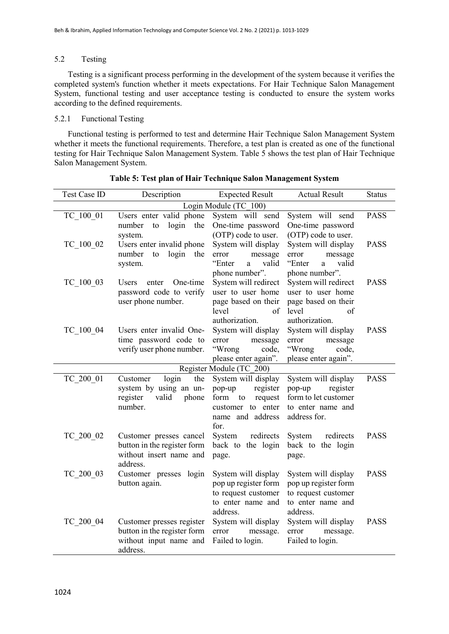#### 5.2 Testing

Testing is a significant process performing in the development of the system because it verifies the completed system's function whether it meets expectations. For Hair Technique Salon Management System, functional testing and user acceptance testing is conducted to ensure the system works according to the defined requirements.

#### 5.2.1 Functional Testing

Functional testing is performed to test and determine Hair Technique Salon Management System whether it meets the functional requirements. Therefore, a test plan is created as one of the functional testing for Hair Technique Salon Management System. Table 5 shows the test plan of Hair Technique Salon Management System.

| Test Case ID          | Description                  | <b>Expected Result</b>                           | <b>Actual Result</b>                    | <b>Status</b> |  |  |  |  |
|-----------------------|------------------------------|--------------------------------------------------|-----------------------------------------|---------------|--|--|--|--|
| Login Module (TC 100) |                              |                                                  |                                         |               |  |  |  |  |
| TC 100 01             | Users enter valid phone      | System will send                                 | System will send                        | <b>PASS</b>   |  |  |  |  |
|                       | login<br>the<br>number<br>to | One-time password                                | One-time password                       |               |  |  |  |  |
|                       | system.                      | (OTP) code to user.                              | (OTP) code to user.                     |               |  |  |  |  |
| TC 100 02             | Users enter invalid phone    | System will display                              | System will display                     | <b>PASS</b>   |  |  |  |  |
|                       | number<br>login<br>to<br>the | error<br>message                                 | error<br>message                        |               |  |  |  |  |
|                       | system.                      | "Enter<br>valid<br>a                             | "Enter<br>valid<br>a                    |               |  |  |  |  |
|                       |                              | phone number".                                   | phone number".                          |               |  |  |  |  |
| TC 100 03             | One-time<br>Users<br>enter   | System will redirect                             | System will redirect                    | <b>PASS</b>   |  |  |  |  |
|                       | password code to verify      | user to user home                                | user to user home                       |               |  |  |  |  |
|                       | user phone number.           | page based on their                              | page based on their                     |               |  |  |  |  |
|                       |                              | level<br>of                                      | level<br>of                             |               |  |  |  |  |
|                       |                              | authorization.                                   | authorization.                          |               |  |  |  |  |
| TC 100 04             | Users enter invalid One-     | System will display                              | System will display                     | <b>PASS</b>   |  |  |  |  |
|                       | time password code to        | message<br>error                                 | message<br>error                        |               |  |  |  |  |
|                       | verify user phone number.    | "Wrong<br>code,                                  | "Wrong<br>code,<br>please enter again". |               |  |  |  |  |
|                       |                              | please enter again".<br>Register Module (TC 200) |                                         |               |  |  |  |  |
| TC 200 01             | login<br>the<br>Customer     | System will display                              | System will display                     | <b>PASS</b>   |  |  |  |  |
|                       | system by using an un-       | register<br>pop-up                               | register<br>pop-up                      |               |  |  |  |  |
|                       | register<br>valid<br>phone   | form<br>request<br>to                            | form to let customer                    |               |  |  |  |  |
|                       | number.                      | customer to enter                                | to enter name and                       |               |  |  |  |  |
|                       |                              | name and address                                 | address for.                            |               |  |  |  |  |
|                       |                              | for.                                             |                                         |               |  |  |  |  |
| TC 200 02             | Customer presses cancel      | redirects<br>System                              | redirects<br>System                     | <b>PASS</b>   |  |  |  |  |
|                       | button in the register form  | back to the login                                | back to the login                       |               |  |  |  |  |
|                       | without insert name and      | page.                                            | page.                                   |               |  |  |  |  |
|                       | address.                     |                                                  |                                         |               |  |  |  |  |
| TC 200 03             | Customer presses login       | System will display                              | System will display                     | <b>PASS</b>   |  |  |  |  |
|                       | button again.                | pop up register form                             | pop up register form                    |               |  |  |  |  |
|                       |                              | to request customer                              | to request customer                     |               |  |  |  |  |
|                       |                              | to enter name and                                | to enter name and                       |               |  |  |  |  |
|                       |                              | address.                                         | address.                                |               |  |  |  |  |
| TC 200 04             | Customer presses register    | System will display                              | System will display                     | <b>PASS</b>   |  |  |  |  |
|                       | button in the register form  | error<br>message.                                | message.<br>error                       |               |  |  |  |  |
|                       | without input name and       | Failed to login.                                 | Failed to login.                        |               |  |  |  |  |
|                       | address.                     |                                                  |                                         |               |  |  |  |  |

**Table 5: Test plan of Hair Technique Salon Management System**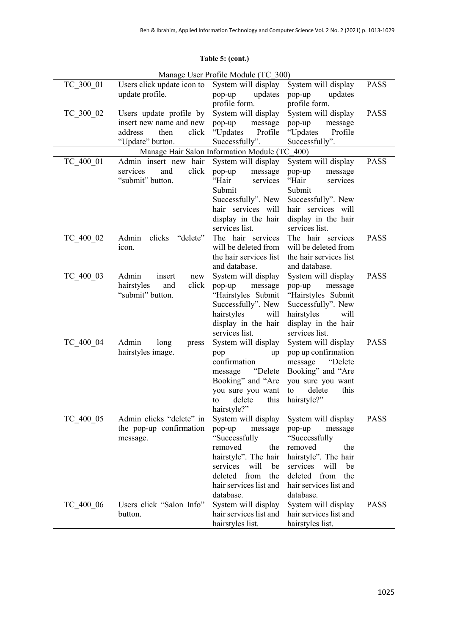|           |                                                                                                    | Manage User Profile Module (TC 300)                                                                                                                                                         |                                                                                                                                                                                             |             |
|-----------|----------------------------------------------------------------------------------------------------|---------------------------------------------------------------------------------------------------------------------------------------------------------------------------------------------|---------------------------------------------------------------------------------------------------------------------------------------------------------------------------------------------|-------------|
| TC 300 01 | Users click update icon to<br>update profile.                                                      | System will display<br>updates<br>pop-up<br>profile form.                                                                                                                                   | System will display<br>updates<br>pop-up<br>profile form.                                                                                                                                   | <b>PASS</b> |
| TC 300 02 | Users update profile by<br>insert new name and new<br>click<br>address<br>then<br>"Update" button. | System will display<br>pop-up<br>message<br>"Updates<br>Profile<br>Successfully".                                                                                                           | System will display<br>pop-up<br>message<br>"Updates<br>Profile<br>Successfully".                                                                                                           | <b>PASS</b> |
|           |                                                                                                    | Manage Hair Salon Information Module (TC 400)                                                                                                                                               |                                                                                                                                                                                             |             |
| TC 400 01 | Admin insert new hair<br>click<br>and<br>services<br>"submit" button.                              | System will display<br>message<br>pop-up<br>"Hair<br>services<br>Submit<br>Successfully". New<br>hair services will<br>display in the hair<br>services list.                                | System will display<br>pop-up<br>message<br>"Hair<br>services<br>Submit<br>Successfully". New<br>hair services will<br>display in the hair<br>services list.                                | <b>PASS</b> |
| TC 400 02 | Admin<br>clicks<br>"delete"<br>icon.                                                               | The hair services<br>will be deleted from<br>the hair services list<br>and database.                                                                                                        | The hair services<br>will be deleted from<br>the hair services list<br>and database.                                                                                                        | <b>PASS</b> |
| TC 400 03 | Admin<br>insert<br>new<br>click<br>hairstyles<br>and<br>"submit" button.                           | System will display<br>pop-up<br>message<br>"Hairstyles Submit<br>Successfully". New<br>hairstyles<br>will<br>display in the hair<br>services list.                                         | System will display<br>pop-up<br>message<br>"Hairstyles Submit<br>Successfully". New<br>hairstyles<br>will<br>display in the hair<br>services list.                                         | <b>PASS</b> |
| TC 400 04 | Admin<br>long<br>press<br>hairstyles image.                                                        | System will display<br>pop<br>up<br>confirmation<br>"Delete<br>message<br>Booking" and "Are<br>you sure you want<br>this<br>delete<br>to<br>hairstyle?"                                     | System will display<br>pop up confirmation<br>message<br>"Delete<br>Booking" and "Are<br>you sure you want<br>this<br>delete<br>to<br>hairstyle?"                                           | <b>PASS</b> |
| TC 400 05 | Admin clicks "delete" in<br>the pop-up confirmation<br>message.                                    | System will display<br>pop-up<br>message<br>"Successfully<br>removed<br>the<br>hairstyle". The hair<br>will<br>services<br>be<br>deleted from<br>the<br>hair services list and<br>database. | System will display<br>pop-up<br>message<br>"Successfully<br>removed<br>the<br>hairstyle". The hair<br>services<br>will<br>be<br>deleted from<br>the<br>hair services list and<br>database. | <b>PASS</b> |
| TC 400 06 | Users click "Salon Info"<br>button.                                                                | System will display<br>hair services list and<br>hairstyles list.                                                                                                                           | System will display<br>hair services list and<br>hairstyles list.                                                                                                                           | <b>PASS</b> |

### **Table 5: (cont.)**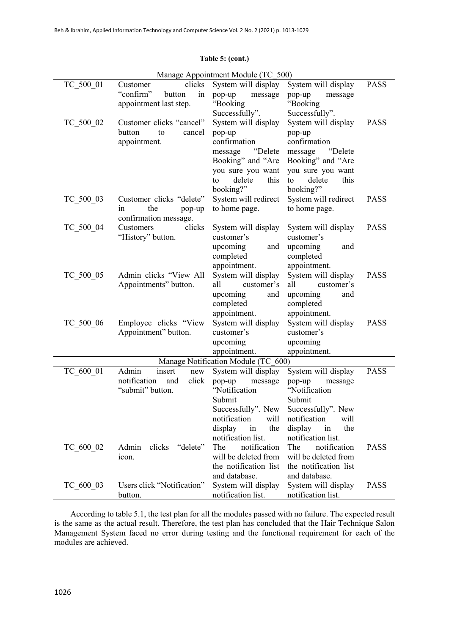| Manage Appointment Module (TC 500)  |                              |                       |                       |             |
|-------------------------------------|------------------------------|-----------------------|-----------------------|-------------|
| TC 500 01                           | clicks<br>Customer           | System will display   | System will display   | <b>PASS</b> |
|                                     | "confirm"<br>button<br>in    | pop-up<br>message     | pop-up<br>message     |             |
|                                     | appointment last step.       | "Booking              | "Booking              |             |
|                                     |                              | Successfully".        | Successfully".        |             |
| TC 500 02                           | Customer clicks "cancel"     | System will display   | System will display   | <b>PASS</b> |
|                                     | button<br>to<br>cancel       | pop-up                | pop-up                |             |
|                                     | appointment.                 | confirmation          | confirmation          |             |
|                                     |                              | "Delete<br>message    | "Delete<br>message    |             |
|                                     |                              | Booking" and "Are     | Booking" and "Are     |             |
|                                     |                              | you sure you want     | you sure you want     |             |
|                                     |                              | delete<br>this<br>to  | delete<br>this<br>to  |             |
|                                     |                              | booking?"             | booking?"             |             |
| TC 500 03                           | Customer clicks "delete"     | System will redirect  | System will redirect  | <b>PASS</b> |
|                                     | the<br>1n<br>pop-up          | to home page.         | to home page.         |             |
|                                     | confirmation message.        |                       |                       |             |
| TC 500 04                           | clicks<br>Customers          | System will display   | System will display   | <b>PASS</b> |
|                                     | "History" button.            | customer's            | customer's            |             |
|                                     |                              | upcoming<br>and       | upcoming<br>and       |             |
|                                     |                              | completed             | completed             |             |
|                                     |                              | appointment.          | appointment.          |             |
| TC 500 05                           | Admin clicks "View All       | System will display   | System will display   | <b>PASS</b> |
|                                     | Appointments" button.        | customer's<br>all     | customer's<br>all     |             |
|                                     |                              | upcoming<br>and       | upcoming<br>and       |             |
|                                     |                              | completed             | completed             |             |
|                                     |                              | appointment.          | appointment.          |             |
| TC 500 06                           | Employee clicks "View        | System will display   | System will display   | <b>PASS</b> |
|                                     | Appointment" button.         | customer's            | customer's            |             |
|                                     |                              | upcoming              | upcoming              |             |
|                                     |                              | appointment.          | appointment.          |             |
| Manage Notification Module (TC 600) |                              |                       |                       |             |
| TC 600 01                           | Admin<br>insert<br>new       | System will display   | System will display   | <b>PASS</b> |
|                                     | notification<br>click<br>and | pop-up<br>message     | pop-up<br>message     |             |
|                                     | "submit" button.             | "Notification         | "Notification         |             |
|                                     |                              | Submit                | Submit                |             |
|                                     |                              | Successfully". New    | Successfully". New    |             |
|                                     |                              | notification<br>will  | notification<br>will  |             |
|                                     |                              | the<br>display<br>in  | the<br>display<br>in  |             |
|                                     |                              | notification list.    | notification list.    |             |
| TC 600 02                           | "delete"<br>Admin<br>clicks  | notification<br>The   | notification<br>The   | <b>PASS</b> |
|                                     | icon.                        | will be deleted from  | will be deleted from  |             |
|                                     |                              | the notification list | the notification list |             |
|                                     |                              | and database.         | and database.         |             |
| TC 600 03                           | Users click "Notification"   | System will display   | System will display   | <b>PASS</b> |
|                                     | button.                      | notification list.    | notification list.    |             |

**Table 5: (cont.)**

According to table 5.1, the test plan for all the modules passed with no failure. The expected result is the same as the actual result. Therefore, the test plan has concluded that the Hair Technique Salon Management System faced no error during testing and the functional requirement for each of the modules are achieved.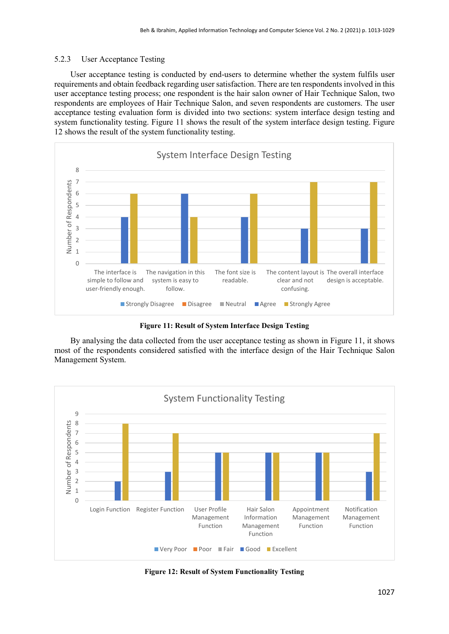#### 5.2.3 User Acceptance Testing

User acceptance testing is conducted by end-users to determine whether the system fulfils user requirements and obtain feedback regarding user satisfaction. There are ten respondents involved in this user acceptance testing process; one respondent is the hair salon owner of Hair Technique Salon, two respondents are employees of Hair Technique Salon, and seven respondents are customers. The user acceptance testing evaluation form is divided into two sections: system interface design testing and system functionality testing. Figure 11 shows the result of the system interface design testing. Figure 12 shows the result of the system functionality testing.



**Figure 11: Result of System Interface Design Testing**

By analysing the data collected from the user acceptance testing as shown in Figure 11, it shows most of the respondents considered satisfied with the interface design of the Hair Technique Salon Management System.



**Figure 12: Result of System Functionality Testing**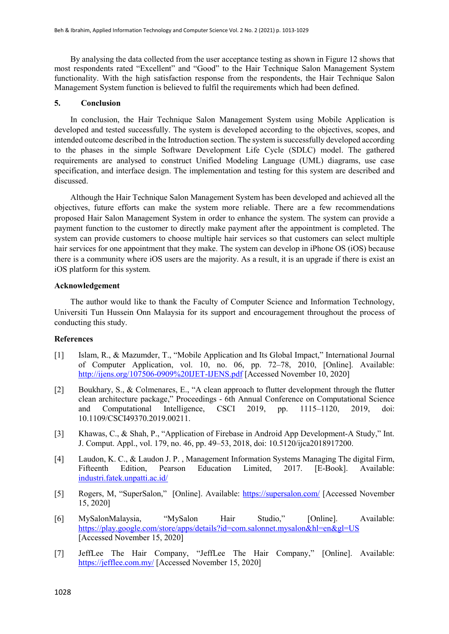By analysing the data collected from the user acceptance testing as shown in Figure 12 shows that most respondents rated "Excellent" and "Good" to the Hair Technique Salon Management System functionality. With the high satisfaction response from the respondents, the Hair Technique Salon Management System function is believed to fulfil the requirements which had been defined.

#### **5. Conclusion**

In conclusion, the Hair Technique Salon Management System using Mobile Application is developed and tested successfully. The system is developed according to the objectives, scopes, and intended outcome described in the Introduction section. The system is successfully developed according to the phases in the simple Software Development Life Cycle (SDLC) model. The gathered requirements are analysed to construct Unified Modeling Language (UML) diagrams, use case specification, and interface design. The implementation and testing for this system are described and discussed.

Although the Hair Technique Salon Management System has been developed and achieved all the objectives, future efforts can make the system more reliable. There are a few recommendations proposed Hair Salon Management System in order to enhance the system. The system can provide a payment function to the customer to directly make payment after the appointment is completed. The system can provide customers to choose multiple hair services so that customers can select multiple hair services for one appointment that they make. The system can develop in iPhone OS (iOS) because there is a community where iOS users are the majority. As a result, it is an upgrade if there is exist an iOS platform for this system.

#### **Acknowledgement**

The author would like to thank the Faculty of Computer Science and Information Technology, Universiti Tun Hussein Onn Malaysia for its support and encouragement throughout the process of conducting this study.

#### **References**

- [1] Islam, R., & Mazumder, T., "Mobile Application and Its Global Impact," International Journal of Computer Application, vol. 10, no. 06, pp. 72–78, 2010, [Online]. Available: <http://ijens.org/107506-0909%20IJET-IJENS.pdf> [Accessed November 10, 2020]
- [2] Boukhary, S., & Colmenares, E., "A clean approach to flutter development through the flutter clean architecture package," Proceedings - 6th Annual Conference on Computational Science and Computational Intelligence, CSCI 2019, pp. 1115–1120, 2019, doi: 10.1109/CSCI49370.2019.00211.
- [3] Khawas, C., & Shah, P., "Application of Firebase in Android App Development-A Study," Int. J. Comput. Appl., vol. 179, no. 46, pp. 49–53, 2018, doi: 10.5120/ijca2018917200.
- [4] Laudon, K. C., & Laudon J. P. , Management Information Systems Managing The digital Firm, Fifteenth Edition, Pearson Education Limited, 2017. [E-Book]. Available: [industri.fatek.unpatti.ac.id/](https://industri.fatek.unpatti.ac.id/)
- [5] Rogers, M, "SuperSalon," [Online]. Available:<https://supersalon.com/> [Accessed November 15, 2020]
- [6] MySalonMalaysia, "MySalon Hair Studio," [Online]. Available: [https://play.google.com/store/apps/details?id=com.salonnet.mysalon&hl=en&gl=US](https://play.google.com/store/apps/details?id=com.salonnet.mysalon&hl=en&gl=US%20) [Accessed November 15, 2020]
- [7] JeffLee The Hair Company, "JeffLee The Hair Company," [Online]. Available: <https://jefflee.com.my/> [Accessed November 15, 2020]